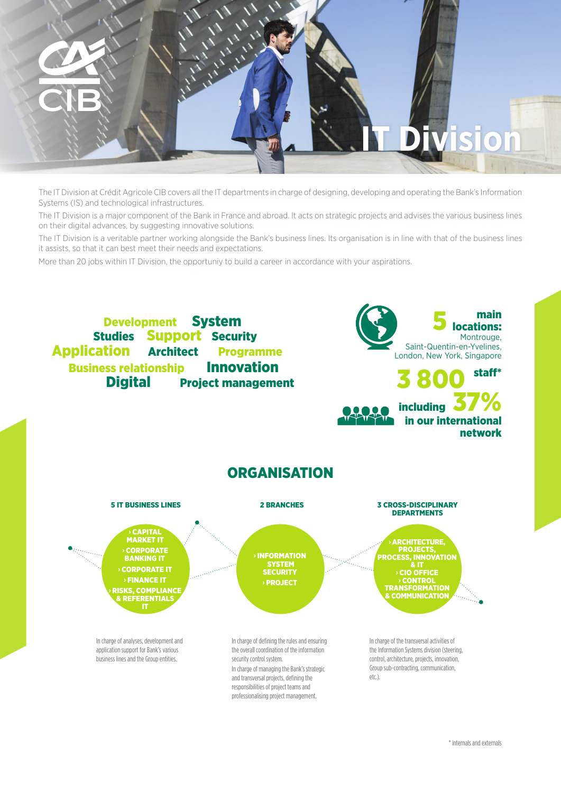

The IT Division at Crédit Agricole CIB covers all the IT departments in charge of designing, developing and operating the Bank's Information Systems (IS) and technological infrastructures.

The IT Division is a major component of the Bank in France and abroad. It acts on strategic projects and advises the various business lines on their digital advances, by suggesting innovative solutions.

The IT Division is a veritable partner working alongside the Bank's business lines. Its organisation is in line with that of the business lines it assists, so that it can best meet their needs and expectations.

More than 20 jobs within IT Division, the opportuniy to build a career in accordance with your aspirations.